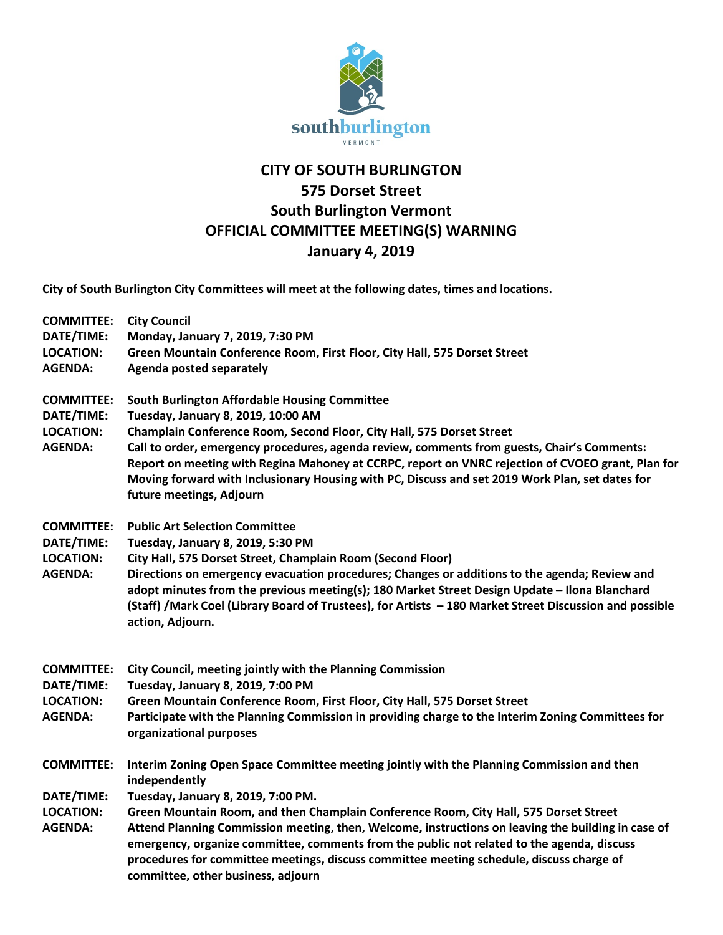

## **CITY OF SOUTH BURLINGTON 575 Dorset Street South Burlington Vermont OFFICIAL COMMITTEE MEETING(S) WARNING January 4, 2019**

**City of South Burlington City Committees will meet at the following dates, times and locations.** 

**COMMITTEE: City Council**

**DATE/TIME: Monday, January 7, 2019, 7:30 PM LOCATION: Green Mountain Conference Room, First Floor, City Hall, 575 Dorset Street AGENDA: Agenda posted separately COMMITTEE: South Burlington Affordable Housing Committee DATE/TIME: Tuesday, January 8, 2019, 10:00 AM LOCATION: Champlain Conference Room, Second Floor, City Hall, 575 Dorset Street AGENDA: Call to order, emergency procedures, agenda review, comments from guests, Chair's Comments: Report on meeting with Regina Mahoney at CCRPC, report on VNRC rejection of CVOEO grant, Plan for Moving forward with Inclusionary Housing with PC, Discuss and set 2019 Work Plan, set dates for future meetings, Adjourn COMMITTEE: Public Art Selection Committee DATE/TIME: Tuesday, January 8, 2019, 5:30 PM LOCATION: City Hall, 575 Dorset Street, Champlain Room (Second Floor) AGENDA: Directions on emergency evacuation procedures; Changes or additions to the agenda; Review and adopt minutes from the previous meeting(s); 180 Market Street Design Update – Ilona Blanchard (Staff) /Mark Coel (Library Board of Trustees), for Artists – 180 Market Street Discussion and possible action, Adjourn. COMMITTEE: City Council, meeting jointly with the Planning Commission DATE/TIME: Tuesday, January 8, 2019, 7:00 PM LOCATION: Green Mountain Conference Room, First Floor, City Hall, 575 Dorset Street AGENDA: Participate with the Planning Commission in providing charge to the Interim Zoning Committees for organizational purposes COMMITTEE: Interim Zoning Open Space Committee meeting jointly with the Planning Commission and then independently DATE/TIME: Tuesday, January 8, 2019, 7:00 PM. LOCATION: Green Mountain Room, and then Champlain Conference Room, City Hall, 575 Dorset Street AGENDA: Attend Planning Commission meeting, then, Welcome, instructions on leaving the building in case of emergency, organize committee, comments from the public not related to the agenda, discuss procedures for committee meetings, discuss committee meeting schedule, discuss charge of committee, other business, adjourn**